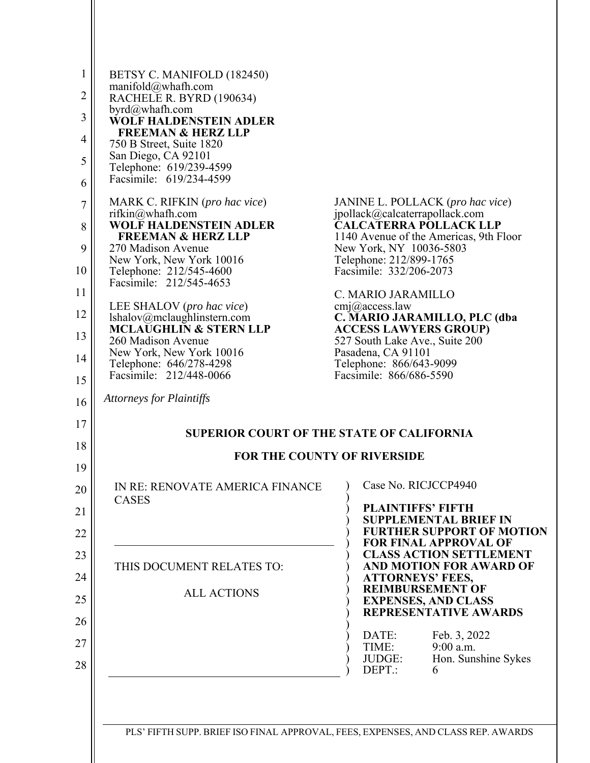| 1<br>$\overline{2}$<br>3<br>$\overline{4}$<br>5<br>6<br>7<br>8 | BETSY C. MANIFOLD (182450)<br>manifold@whafh.com<br>RACHELE R. BYRD (190634)<br>byrd@whafh.com<br><b>WOLF HALDENSTEIN ADLER</b><br><b>FREEMAN &amp; HERZ LLP</b><br>750 B Street, Suite 1820<br>San Diego, CA 92101<br>Telephone: 619/239-4599<br>Facsimile: 619/234-4599<br>MARK C. RIFKIN (pro hac vice)<br>rifkin@whafh.com<br><b>WOLF HALDENSTEIN ADLER</b><br><b>FREEMAN &amp; HERZ LLP</b> | JANINE L. POLLACK (pro hac vice)<br>jpollack@calcaterrapollack.com<br><b>CALCATERRA POLLACK LLP</b><br>1140 Avenue of the Americas, 9th Floor |  |  |
|----------------------------------------------------------------|--------------------------------------------------------------------------------------------------------------------------------------------------------------------------------------------------------------------------------------------------------------------------------------------------------------------------------------------------------------------------------------------------|-----------------------------------------------------------------------------------------------------------------------------------------------|--|--|
| 9<br>10                                                        | 270 Madison Avenue<br>New York, New York 10016<br>Telephone: 212/545-4600<br>Facsimile: 212/545-4653                                                                                                                                                                                                                                                                                             | New York, NY 10036-5803<br>Telephone: 212/899-1765<br>Facsimile: 332/206-2073                                                                 |  |  |
| 11<br>12                                                       | LEE SHALOV (pro hac vice)                                                                                                                                                                                                                                                                                                                                                                        | C. MARIO JARAMILLO<br>$cmj$ <i>(a)</i> access law                                                                                             |  |  |
| 13                                                             | lshalov@mclaughlinstern.com<br><b>MCLAUGHLIN &amp; STERN LLP</b>                                                                                                                                                                                                                                                                                                                                 | C. MARIO JARAMILLO, PLC (dba<br><b>ACCESS LAWYERS GROUP)</b>                                                                                  |  |  |
| 14                                                             | 260 Madison Avenue<br>New York, New York 10016                                                                                                                                                                                                                                                                                                                                                   | 527 South Lake Ave., Suite 200<br>Pasadena, CA 91101                                                                                          |  |  |
| 15                                                             | Telephone: 646/278-4298<br>Facsimile: 212/448-0066                                                                                                                                                                                                                                                                                                                                               | Telephone: 866/643-9099<br>Facsimile: 866/686-5590                                                                                            |  |  |
| 16                                                             | <b>Attorneys for Plaintiffs</b>                                                                                                                                                                                                                                                                                                                                                                  |                                                                                                                                               |  |  |
| 17                                                             |                                                                                                                                                                                                                                                                                                                                                                                                  |                                                                                                                                               |  |  |
| 18                                                             | <b>SUPERIOR COURT OF THE STATE OF CALIFORNIA</b><br><b>FOR THE COUNTY OF RIVERSIDE</b>                                                                                                                                                                                                                                                                                                           |                                                                                                                                               |  |  |
| 19                                                             |                                                                                                                                                                                                                                                                                                                                                                                                  |                                                                                                                                               |  |  |
| $20\,$                                                         | IN RE: RENOVATE AMERICA FINANCE<br><b>CASES</b>                                                                                                                                                                                                                                                                                                                                                  | Case No. RICJCCP4940<br>$\mathcal{E}$                                                                                                         |  |  |
| 21                                                             |                                                                                                                                                                                                                                                                                                                                                                                                  | <b>PLAINTIFFS' FIFTH</b><br><b>SUPPLEMENTAL BRIEF IN</b>                                                                                      |  |  |
| 22                                                             |                                                                                                                                                                                                                                                                                                                                                                                                  | <b>FURTHER SUPPORT OF MOTION</b><br><b>FOR FINAL APPROVAL OF</b>                                                                              |  |  |
| 23                                                             | THIS DOCUMENT RELATES TO:                                                                                                                                                                                                                                                                                                                                                                        | <b>CLASS ACTION SETTLEMENT</b><br><b>AND MOTION FOR AWARD OF</b>                                                                              |  |  |
| 24                                                             |                                                                                                                                                                                                                                                                                                                                                                                                  | <b>ATTORNEYS' FEES,</b><br><b>REIMBURSEMENT OF</b>                                                                                            |  |  |
| 25                                                             | <b>ALL ACTIONS</b>                                                                                                                                                                                                                                                                                                                                                                               | <b>EXPENSES, AND CLASS</b><br><b>REPRESENTATIVE AWARDS</b>                                                                                    |  |  |
| 26                                                             |                                                                                                                                                                                                                                                                                                                                                                                                  | DATE:<br>Feb. 3, 2022                                                                                                                         |  |  |
| 27<br>28                                                       |                                                                                                                                                                                                                                                                                                                                                                                                  | TIME:<br>$9:00$ a.m.<br>Hon. Sunshine Sykes<br>JUDGE:<br>DEPT.:<br>6                                                                          |  |  |
|                                                                |                                                                                                                                                                                                                                                                                                                                                                                                  |                                                                                                                                               |  |  |

PLS' FIFTH SUPP. BRIEF ISO FINAL APPROVAL, FEES, EXPENSES, AND CLASS REP. AWARDS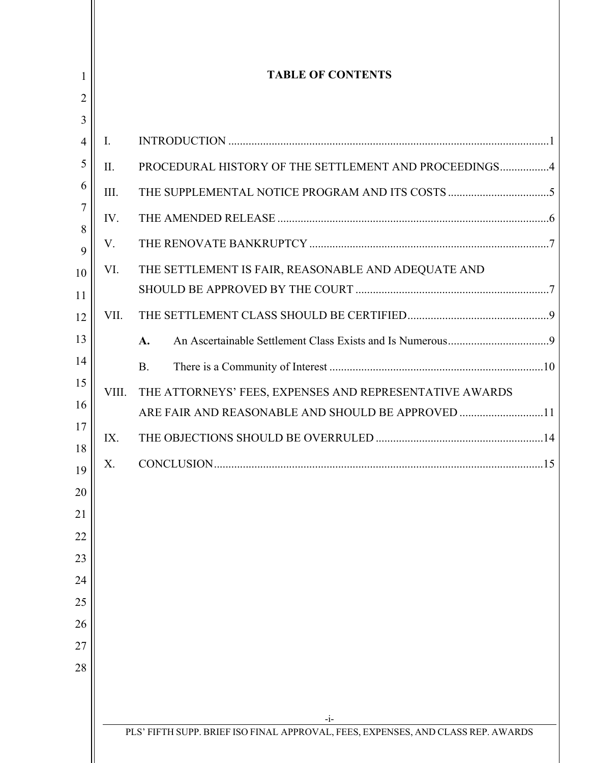| <b>TABLE OF CONTENTS</b> |                                                         |  |
|--------------------------|---------------------------------------------------------|--|
|                          |                                                         |  |
| $\mathbf{I}$ .           |                                                         |  |
| II.                      | PROCEDURAL HISTORY OF THE SETTLEMENT AND PROCEEDINGS4   |  |
| III.                     |                                                         |  |
| IV.                      |                                                         |  |
| V.                       |                                                         |  |
| VI.                      | THE SETTLEMENT IS FAIR, REASONABLE AND ADEQUATE AND     |  |
|                          |                                                         |  |
| VII.                     |                                                         |  |
|                          | $\mathbf{A}$ .                                          |  |
|                          | <b>B.</b>                                               |  |
| VIII.                    | THE ATTORNEYS' FEES, EXPENSES AND REPRESENTATIVE AWARDS |  |
|                          | ARE FAIR AND REASONABLE AND SHOULD BE APPROVED 11       |  |
| IX.                      |                                                         |  |
| X.                       |                                                         |  |
|                          |                                                         |  |
|                          |                                                         |  |
|                          |                                                         |  |
|                          |                                                         |  |
|                          |                                                         |  |
|                          |                                                         |  |
|                          |                                                         |  |
|                          |                                                         |  |
|                          |                                                         |  |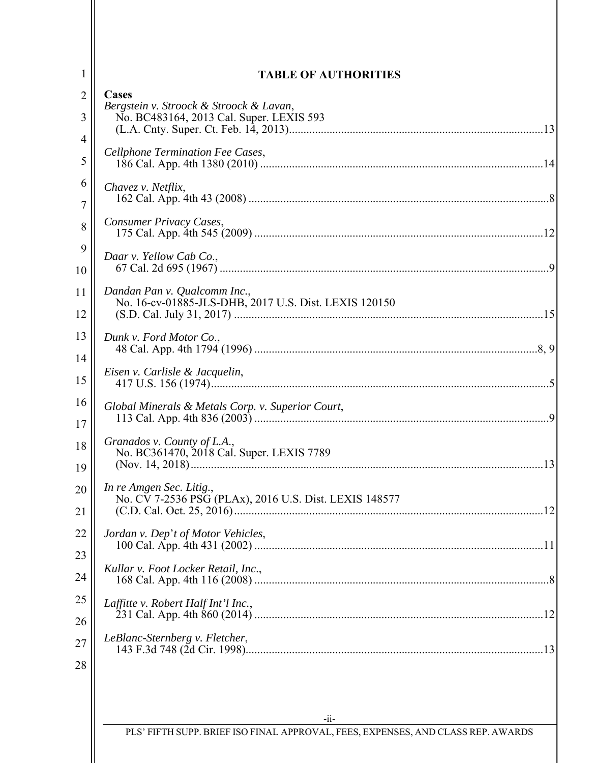|  | <b>TABLE OF AUTHORITIES</b>                                                                 |
|--|---------------------------------------------------------------------------------------------|
|  | Cases                                                                                       |
|  | Bergstein v. Stroock & Stroock & Lavan,<br>No. BC483164, 2013 Cal. Super. LEXIS 593         |
|  |                                                                                             |
|  | Cellphone Termination Fee Cases,                                                            |
|  |                                                                                             |
|  | Chavez v. Netflix,                                                                          |
|  |                                                                                             |
|  | Consumer Privacy Cases,                                                                     |
|  |                                                                                             |
|  | Daar v. Yellow Cab Co.,                                                                     |
|  |                                                                                             |
|  | Dandan Pan v. Qualcomm Inc.,<br>No. 16-cv-01885-JLS-DHB, 2017 U.S. Dist. LEXIS 120150       |
|  |                                                                                             |
|  | Dunk v. Ford Motor Co.,                                                                     |
|  |                                                                                             |
|  | Eisen v. Carlisle & Jacquelin,                                                              |
|  |                                                                                             |
|  | Global Minerals & Metals Corp. v. Superior Court,                                           |
|  |                                                                                             |
|  | Granados v. County of L.A.,<br>No. BC361470, 2018 Cal. Super. LEXIS 7789                    |
|  |                                                                                             |
|  | In re Amgen Sec. Litig.,                                                                    |
|  | No. CV 7-2536 PSG (PLAx), 2016 U.S. Dist. LEXIS 148577                                      |
|  |                                                                                             |
|  | Jordan v. Dep't of Motor Vehicles,                                                          |
|  |                                                                                             |
|  | Kullar v. Foot Locker Retail, Inc.,                                                         |
|  |                                                                                             |
|  | Laffitte v. Robert Half Int'l Inc.,                                                         |
|  | LeBlanc-Sternberg v. Fletcher,                                                              |
|  |                                                                                             |
|  |                                                                                             |
|  |                                                                                             |
|  |                                                                                             |
|  | $-i$ i-<br>PLS' FIFTH SUPP. BRIEF ISO FINAL APPROVAL, FEES, EXPENSES, AND CLASS REP. AWARDS |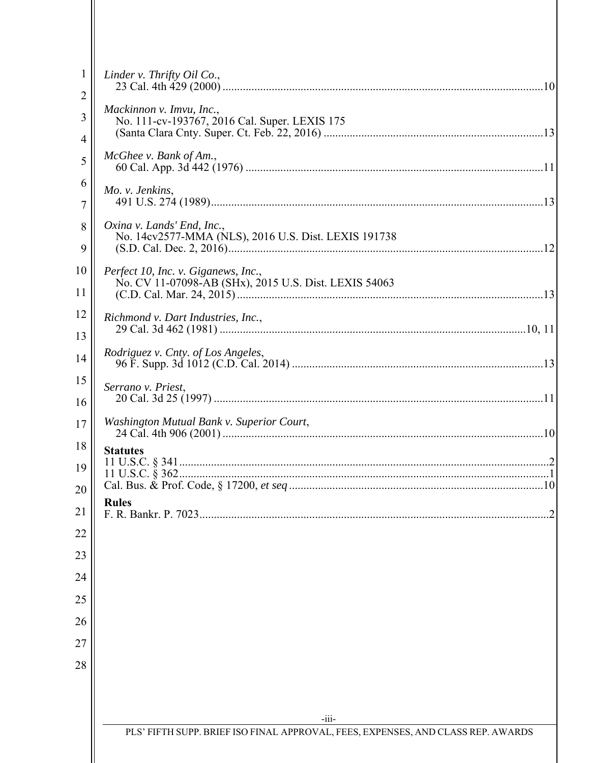| 1        | Linder v. Thrifty Oil Co.,                                                                   |
|----------|----------------------------------------------------------------------------------------------|
| 2        |                                                                                              |
| 3        | Mackinnon v. Imvu, Inc.,<br>No. 111-cv-193767, 2016 Cal. Super. LEXIS 175                    |
| 4        |                                                                                              |
| 5        | $McGhee$ v. Bank of Am.,                                                                     |
| 6        | Mo. v. Jenkins,                                                                              |
| 7        |                                                                                              |
| 8        | Oxina v. Lands' End, Inc.,<br>No. 14cv2577-MMA (NLS), 2016 U.S. Dist. LEXIS 191738           |
| 9        |                                                                                              |
| 10       | Perfect 10, Inc. v. Giganews, Inc.,<br>No. CV 11-07098-AB (SHx), 2015 U.S. Dist. LEXIS 54063 |
| 11       |                                                                                              |
| 12       | Richmond v. Dart Industries, Inc.,                                                           |
| 13<br>14 | Rodriguez v. Cnty. of Los Angeles,                                                           |
| 15       |                                                                                              |
| 16       | Serrano v. Priest,                                                                           |
| 17       | Washington Mutual Bank v. Superior Court,                                                    |
| 18       | <b>Statutes</b>                                                                              |
| 19       |                                                                                              |
| 20       |                                                                                              |
| 21       | <b>Rules</b>                                                                                 |
| 22       |                                                                                              |
| 23       |                                                                                              |
| 24       |                                                                                              |
| 25       |                                                                                              |
| 26       |                                                                                              |
| 27       |                                                                                              |
| 28       |                                                                                              |
|          |                                                                                              |
|          | $-iii-$                                                                                      |
|          | PLS' FIFTH SUPP. BRIEF ISO FINAL APPROVAL, FEES, EXPENSES, AND CLASS REP. AWARDS             |
|          |                                                                                              |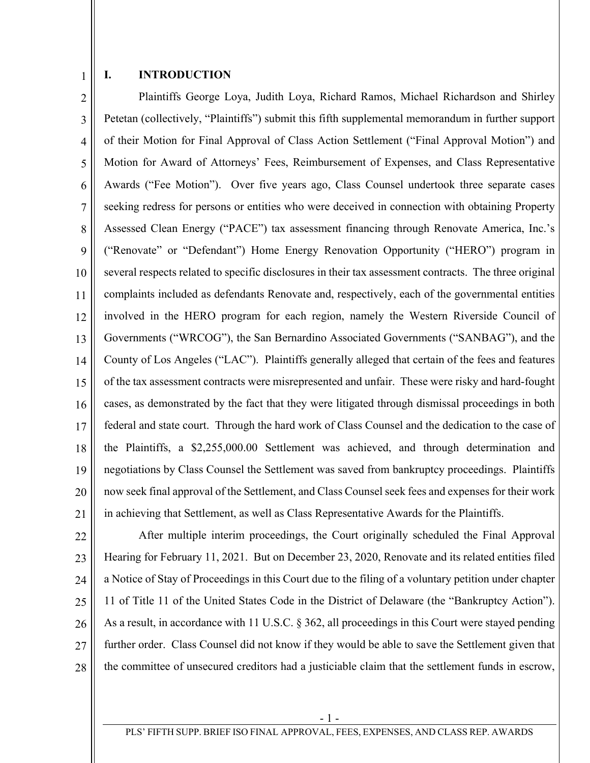1

#### **I. INTRODUCTION**

2 3 4 5 6 7 8 9 10 11 12 13 14 15 16 17 18 19 20 21 Plaintiffs George Loya, Judith Loya, Richard Ramos, Michael Richardson and Shirley Petetan (collectively, "Plaintiffs") submit this fifth supplemental memorandum in further support of their Motion for Final Approval of Class Action Settlement ("Final Approval Motion") and Motion for Award of Attorneys' Fees, Reimbursement of Expenses, and Class Representative Awards ("Fee Motion"). Over five years ago, Class Counsel undertook three separate cases seeking redress for persons or entities who were deceived in connection with obtaining Property Assessed Clean Energy ("PACE") tax assessment financing through Renovate America, Inc.'s ("Renovate" or "Defendant") Home Energy Renovation Opportunity ("HERO") program in several respects related to specific disclosures in their tax assessment contracts. The three original complaints included as defendants Renovate and, respectively, each of the governmental entities involved in the HERO program for each region, namely the Western Riverside Council of Governments ("WRCOG"), the San Bernardino Associated Governments ("SANBAG"), and the County of Los Angeles ("LAC"). Plaintiffs generally alleged that certain of the fees and features of the tax assessment contracts were misrepresented and unfair. These were risky and hard-fought cases, as demonstrated by the fact that they were litigated through dismissal proceedings in both federal and state court. Through the hard work of Class Counsel and the dedication to the case of the Plaintiffs, a \$2,255,000.00 Settlement was achieved, and through determination and negotiations by Class Counsel the Settlement was saved from bankruptcy proceedings. Plaintiffs now seek final approval of the Settlement, and Class Counsel seek fees and expenses for their work in achieving that Settlement, as well as Class Representative Awards for the Plaintiffs.

22 23 24 25 26 27 28 After multiple interim proceedings, the Court originally scheduled the Final Approval Hearing for February 11, 2021. But on December 23, 2020, Renovate and its related entities filed a Notice of Stay of Proceedings in this Court due to the filing of a voluntary petition under chapter 11 of Title 11 of the United States Code in the District of Delaware (the "Bankruptcy Action"). As a result, in accordance with 11 U.S.C. § 362, all proceedings in this Court were stayed pending further order. Class Counsel did not know if they would be able to save the Settlement given that the committee of unsecured creditors had a justiciable claim that the settlement funds in escrow,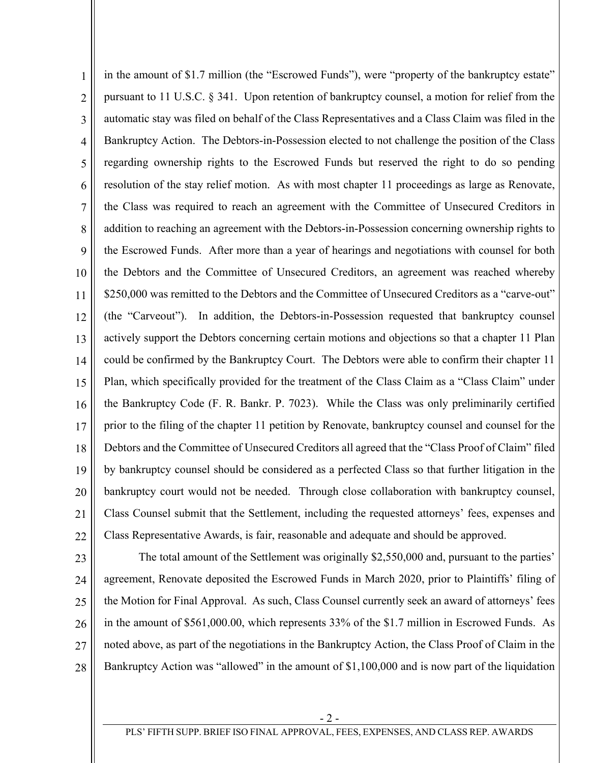1 2 3 4 5 6 7 8 9 10 11 12 13 14 15 16 17 18 19 20 21 22 in the amount of \$1.7 million (the "Escrowed Funds"), were "property of the bankruptcy estate" pursuant to 11 U.S.C. § 341. Upon retention of bankruptcy counsel, a motion for relief from the automatic stay was filed on behalf of the Class Representatives and a Class Claim was filed in the Bankruptcy Action. The Debtors-in-Possession elected to not challenge the position of the Class regarding ownership rights to the Escrowed Funds but reserved the right to do so pending resolution of the stay relief motion. As with most chapter 11 proceedings as large as Renovate, the Class was required to reach an agreement with the Committee of Unsecured Creditors in addition to reaching an agreement with the Debtors-in-Possession concerning ownership rights to the Escrowed Funds. After more than a year of hearings and negotiations with counsel for both the Debtors and the Committee of Unsecured Creditors, an agreement was reached whereby \$250,000 was remitted to the Debtors and the Committee of Unsecured Creditors as a "carve-out" (the "Carveout"). In addition, the Debtors-in-Possession requested that bankruptcy counsel actively support the Debtors concerning certain motions and objections so that a chapter 11 Plan could be confirmed by the Bankruptcy Court. The Debtors were able to confirm their chapter 11 Plan, which specifically provided for the treatment of the Class Claim as a "Class Claim" under the Bankruptcy Code (F. R. Bankr. P. 7023). While the Class was only preliminarily certified prior to the filing of the chapter 11 petition by Renovate, bankruptcy counsel and counsel for the Debtors and the Committee of Unsecured Creditors all agreed that the "Class Proof of Claim" filed by bankruptcy counsel should be considered as a perfected Class so that further litigation in the bankruptcy court would not be needed. Through close collaboration with bankruptcy counsel, Class Counsel submit that the Settlement, including the requested attorneys' fees, expenses and Class Representative Awards, is fair, reasonable and adequate and should be approved.

23 24 25 26 27 28 The total amount of the Settlement was originally \$2,550,000 and, pursuant to the parties' agreement, Renovate deposited the Escrowed Funds in March 2020, prior to Plaintiffs' filing of the Motion for Final Approval. As such, Class Counsel currently seek an award of attorneys' fees in the amount of \$561,000.00, which represents 33% of the \$1.7 million in Escrowed Funds. As noted above, as part of the negotiations in the Bankruptcy Action, the Class Proof of Claim in the Bankruptcy Action was "allowed" in the amount of \$1,100,000 and is now part of the liquidation

- 2 -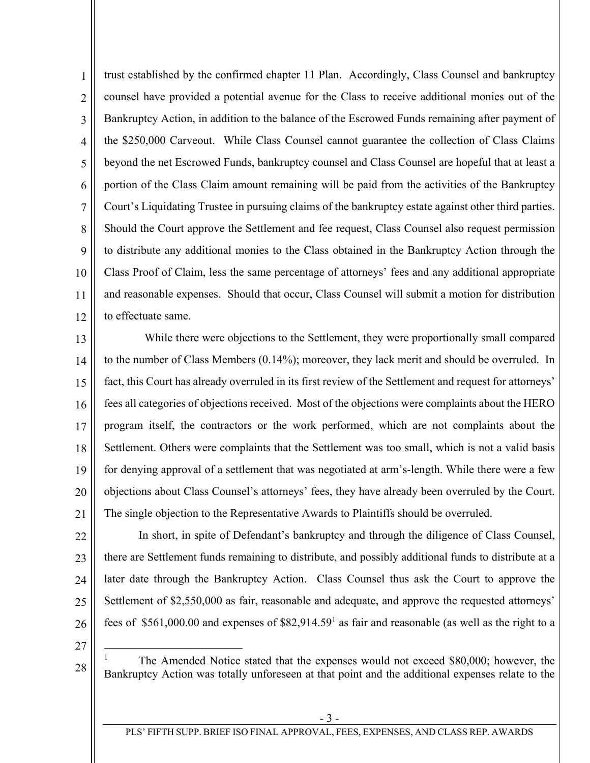1 2 3 4 5 6 7 8 9 10 11 12 trust established by the confirmed chapter 11 Plan. Accordingly, Class Counsel and bankruptcy counsel have provided a potential avenue for the Class to receive additional monies out of the Bankruptcy Action, in addition to the balance of the Escrowed Funds remaining after payment of the \$250,000 Carveout. While Class Counsel cannot guarantee the collection of Class Claims beyond the net Escrowed Funds, bankruptcy counsel and Class Counsel are hopeful that at least a portion of the Class Claim amount remaining will be paid from the activities of the Bankruptcy Court's Liquidating Trustee in pursuing claims of the bankruptcy estate against other third parties. Should the Court approve the Settlement and fee request, Class Counsel also request permission to distribute any additional monies to the Class obtained in the Bankruptcy Action through the Class Proof of Claim, less the same percentage of attorneys' fees and any additional appropriate and reasonable expenses. Should that occur, Class Counsel will submit a motion for distribution to effectuate same.

13 14 15 16 17 18 19 20 21 While there were objections to the Settlement, they were proportionally small compared to the number of Class Members (0.14%); moreover, they lack merit and should be overruled. In fact, this Court has already overruled in its first review of the Settlement and request for attorneys' fees all categories of objections received. Most of the objections were complaints about the HERO program itself, the contractors or the work performed, which are not complaints about the Settlement. Others were complaints that the Settlement was too small, which is not a valid basis for denying approval of a settlement that was negotiated at arm's-length. While there were a few objections about Class Counsel's attorneys' fees, they have already been overruled by the Court. The single objection to the Representative Awards to Plaintiffs should be overruled.

- 22 23 24 25 26 In short, in spite of Defendant's bankruptcy and through the diligence of Class Counsel, there are Settlement funds remaining to distribute, and possibly additional funds to distribute at a later date through the Bankruptcy Action. Class Counsel thus ask the Court to approve the Settlement of \$2,550,000 as fair, reasonable and adequate, and approve the requested attorneys' fees of \$561,000.00 and expenses of \$82,914.59<sup>1</sup> as fair and reasonable (as well as the right to a
- 27

 $\overline{a}$ 

28

1 The Amended Notice stated that the expenses would not exceed \$80,000; however, the Bankruptcy Action was totally unforeseen at that point and the additional expenses relate to the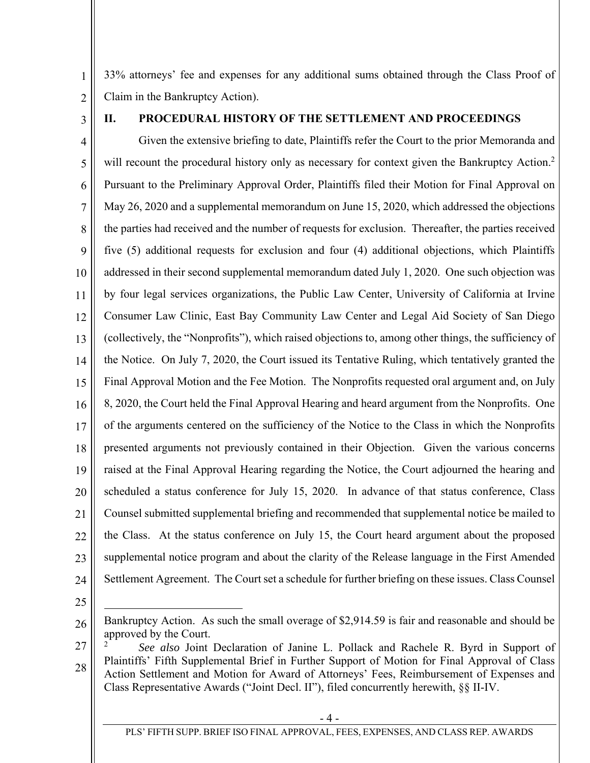1 2 33% attorneys' fee and expenses for any additional sums obtained through the Class Proof of Claim in the Bankruptcy Action).

3

# **II. PROCEDURAL HISTORY OF THE SETTLEMENT AND PROCEEDINGS**

4 5 6 7 8 9 10 11 12 13 14 15 16 17 18 19 20 21 22 23 24 Given the extensive briefing to date, Plaintiffs refer the Court to the prior Memoranda and will recount the procedural history only as necessary for context given the Bankruptcy Action.<sup>2</sup> Pursuant to the Preliminary Approval Order, Plaintiffs filed their Motion for Final Approval on May 26, 2020 and a supplemental memorandum on June 15, 2020, which addressed the objections the parties had received and the number of requests for exclusion. Thereafter, the parties received five (5) additional requests for exclusion and four (4) additional objections, which Plaintiffs addressed in their second supplemental memorandum dated July 1, 2020. One such objection was by four legal services organizations, the Public Law Center, University of California at Irvine Consumer Law Clinic, East Bay Community Law Center and Legal Aid Society of San Diego (collectively, the "Nonprofits"), which raised objections to, among other things, the sufficiency of the Notice. On July 7, 2020, the Court issued its Tentative Ruling, which tentatively granted the Final Approval Motion and the Fee Motion. The Nonprofits requested oral argument and, on July 8, 2020, the Court held the Final Approval Hearing and heard argument from the Nonprofits. One of the arguments centered on the sufficiency of the Notice to the Class in which the Nonprofits presented arguments not previously contained in their Objection. Given the various concerns raised at the Final Approval Hearing regarding the Notice, the Court adjourned the hearing and scheduled a status conference for July 15, 2020. In advance of that status conference, Class Counsel submitted supplemental briefing and recommended that supplemental notice be mailed to the Class. At the status conference on July 15, the Court heard argument about the proposed supplemental notice program and about the clarity of the Release language in the First Amended Settlement Agreement. The Court set a schedule for further briefing on these issues. Class Counsel

25

 $\overline{a}$ 

<sup>26</sup>  Bankruptcy Action. As such the small overage of \$2,914.59 is fair and reasonable and should be approved by the Court.

<sup>28</sup>  2 *See also* Joint Declaration of Janine L. Pollack and Rachele R. Byrd in Support of Plaintiffs' Fifth Supplemental Brief in Further Support of Motion for Final Approval of Class Action Settlement and Motion for Award of Attorneys' Fees, Reimbursement of Expenses and Class Representative Awards ("Joint Decl. II"), filed concurrently herewith, §§ II-IV.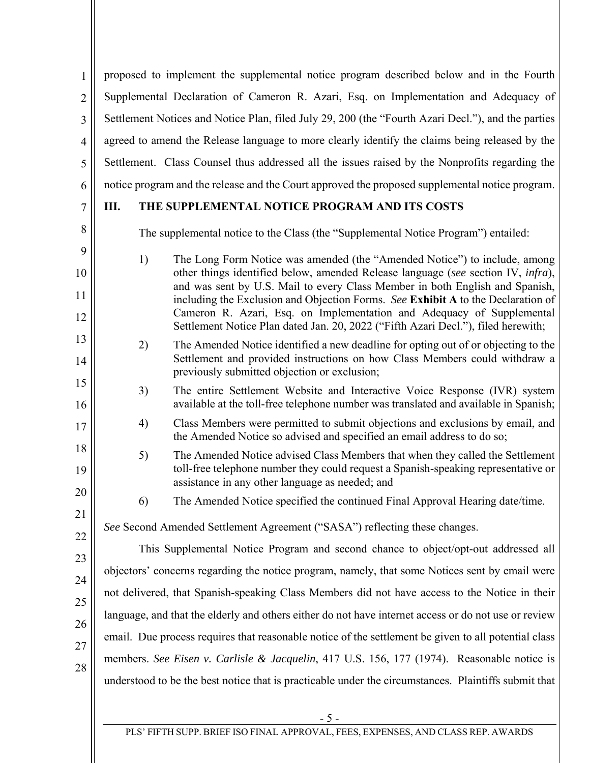1 2 3 4 5 6 proposed to implement the supplemental notice program described below and in the Fourth Supplemental Declaration of Cameron R. Azari, Esq. on Implementation and Adequacy of Settlement Notices and Notice Plan, filed July 29, 200 (the "Fourth Azari Decl."), and the parties agreed to amend the Release language to more clearly identify the claims being released by the Settlement. Class Counsel thus addressed all the issues raised by the Nonprofits regarding the notice program and the release and the Court approved the proposed supplemental notice program.

# 7

8

9

10

11

12

13

14

15

16

17

18

19

20

21

22

# **III. THE SUPPLEMENTAL NOTICE PROGRAM AND ITS COSTS**

The supplemental notice to the Class (the "Supplemental Notice Program") entailed:

- 1) The Long Form Notice was amended (the "Amended Notice") to include, among other things identified below, amended Release language (*see* section IV, *infra*), and was sent by U.S. Mail to every Class Member in both English and Spanish, including the Exclusion and Objection Forms. *See* **Exhibit A** to the Declaration of Cameron R. Azari, Esq. on Implementation and Adequacy of Supplemental Settlement Notice Plan dated Jan. 20, 2022 ("Fifth Azari Decl."), filed herewith;
- 2) The Amended Notice identified a new deadline for opting out of or objecting to the Settlement and provided instructions on how Class Members could withdraw a previously submitted objection or exclusion;
- 3) The entire Settlement Website and Interactive Voice Response (IVR) system available at the toll-free telephone number was translated and available in Spanish;
- 4) Class Members were permitted to submit objections and exclusions by email, and the Amended Notice so advised and specified an email address to do so;
- 5) The Amended Notice advised Class Members that when they called the Settlement toll-free telephone number they could request a Spanish-speaking representative or assistance in any other language as needed; and
	- 6) The Amended Notice specified the continued Final Approval Hearing date/time.

# *See* Second Amended Settlement Agreement ("SASA") reflecting these changes.

23 24 25 26 27 28 This Supplemental Notice Program and second chance to object/opt-out addressed all objectors' concerns regarding the notice program, namely, that some Notices sent by email were not delivered, that Spanish-speaking Class Members did not have access to the Notice in their language, and that the elderly and others either do not have internet access or do not use or review email. Due process requires that reasonable notice of the settlement be given to all potential class members. *See Eisen v. Carlisle & Jacquelin*, 417 U.S. 156, 177 (1974). Reasonable notice is understood to be the best notice that is practicable under the circumstances. Plaintiffs submit that

- 5 -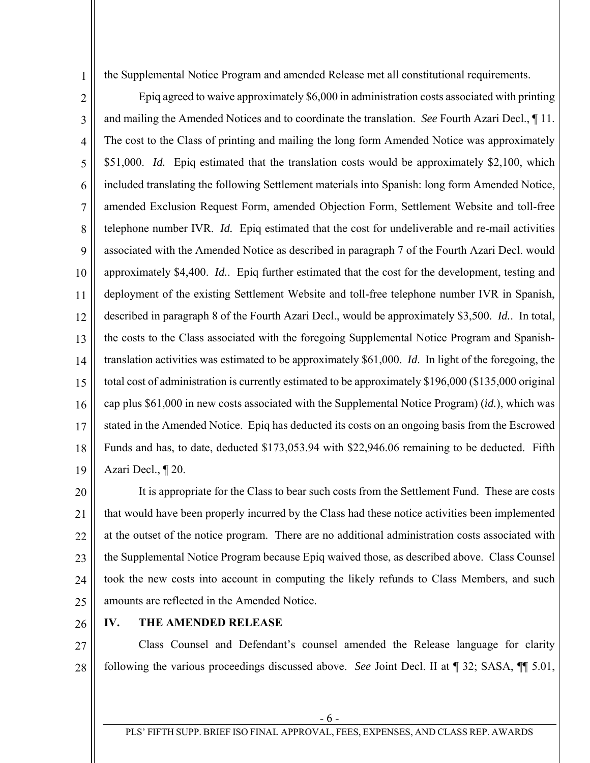the Supplemental Notice Program and amended Release met all constitutional requirements.

2 3 4 5 6 7 8 9 10 11 12 13 14 15 16 17 18 19 Epiq agreed to waive approximately \$6,000 in administration costs associated with printing and mailing the Amended Notices and to coordinate the translation. *See* Fourth Azari Decl., ¶ 11. The cost to the Class of printing and mailing the long form Amended Notice was approximately \$51,000. *Id.* Epiq estimated that the translation costs would be approximately \$2,100, which included translating the following Settlement materials into Spanish: long form Amended Notice, amended Exclusion Request Form, amended Objection Form, Settlement Website and toll-free telephone number IVR. *Id.* Epiq estimated that the cost for undeliverable and re-mail activities associated with the Amended Notice as described in paragraph 7 of the Fourth Azari Decl. would approximately \$4,400. *Id.*. Epiq further estimated that the cost for the development, testing and deployment of the existing Settlement Website and toll-free telephone number IVR in Spanish, described in paragraph 8 of the Fourth Azari Decl., would be approximately \$3,500. *Id.*. In total, the costs to the Class associated with the foregoing Supplemental Notice Program and Spanishtranslation activities was estimated to be approximately \$61,000. *Id*. In light of the foregoing, the total cost of administration is currently estimated to be approximately \$196,000 (\$135,000 original cap plus \$61,000 in new costs associated with the Supplemental Notice Program) (*id.*), which was stated in the Amended Notice. Epiq has deducted its costs on an ongoing basis from the Escrowed Funds and has, to date, deducted \$173,053.94 with \$22,946.06 remaining to be deducted. Fifth Azari Decl., ¶ 20.

20 21 22 23 24 25 It is appropriate for the Class to bear such costs from the Settlement Fund. These are costs that would have been properly incurred by the Class had these notice activities been implemented at the outset of the notice program. There are no additional administration costs associated with the Supplemental Notice Program because Epiq waived those, as described above. Class Counsel took the new costs into account in computing the likely refunds to Class Members, and such amounts are reflected in the Amended Notice.

26

1

### **IV. THE AMENDED RELEASE**

27 28 Class Counsel and Defendant's counsel amended the Release language for clarity following the various proceedings discussed above. *See* Joint Decl. II at ¶ 32; SASA, ¶¶ 5.01,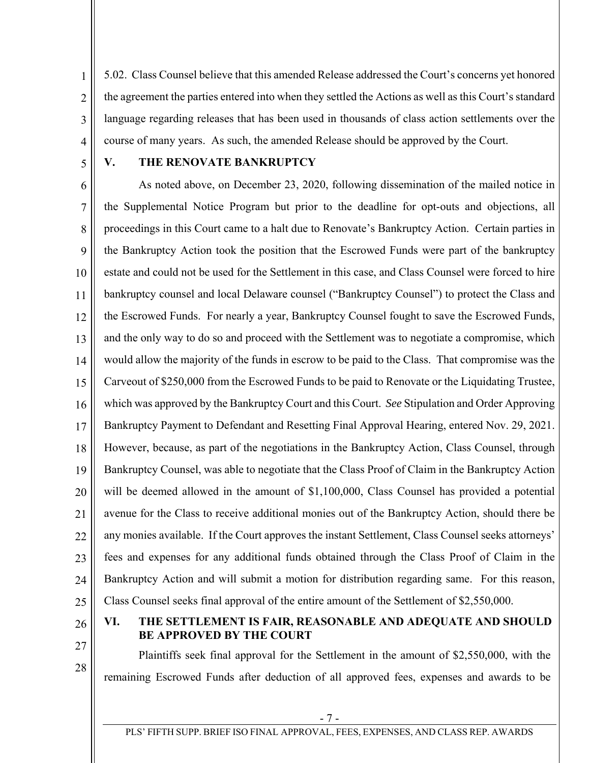2 3 4 5.02. Class Counsel believe that this amended Release addressed the Court's concerns yet honored the agreement the parties entered into when they settled the Actions as well as this Court's standard language regarding releases that has been used in thousands of class action settlements over the course of many years. As such, the amended Release should be approved by the Court.

5

1

### **V. THE RENOVATE BANKRUPTCY**

6 7 8 9 10 11 12 13 14 15 16 17 18 19 20 21 22 23 24 25 As noted above, on December 23, 2020, following dissemination of the mailed notice in the Supplemental Notice Program but prior to the deadline for opt-outs and objections, all proceedings in this Court came to a halt due to Renovate's Bankruptcy Action. Certain parties in the Bankruptcy Action took the position that the Escrowed Funds were part of the bankruptcy estate and could not be used for the Settlement in this case, and Class Counsel were forced to hire bankruptcy counsel and local Delaware counsel ("Bankruptcy Counsel") to protect the Class and the Escrowed Funds. For nearly a year, Bankruptcy Counsel fought to save the Escrowed Funds, and the only way to do so and proceed with the Settlement was to negotiate a compromise, which would allow the majority of the funds in escrow to be paid to the Class. That compromise was the Carveout of \$250,000 from the Escrowed Funds to be paid to Renovate or the Liquidating Trustee, which was approved by the Bankruptcy Court and this Court. *See* Stipulation and Order Approving Bankruptcy Payment to Defendant and Resetting Final Approval Hearing, entered Nov. 29, 2021. However, because, as part of the negotiations in the Bankruptcy Action, Class Counsel, through Bankruptcy Counsel, was able to negotiate that the Class Proof of Claim in the Bankruptcy Action will be deemed allowed in the amount of \$1,100,000, Class Counsel has provided a potential avenue for the Class to receive additional monies out of the Bankruptcy Action, should there be any monies available. If the Court approves the instant Settlement, Class Counsel seeks attorneys' fees and expenses for any additional funds obtained through the Class Proof of Claim in the Bankruptcy Action and will submit a motion for distribution regarding same. For this reason, Class Counsel seeks final approval of the entire amount of the Settlement of \$2,550,000.

26

27

28

**VI. THE SETTLEMENT IS FAIR, REASONABLE AND ADEQUATE AND SHOULD BE APPROVED BY THE COURT** 

Plaintiffs seek final approval for the Settlement in the amount of \$2,550,000, with the remaining Escrowed Funds after deduction of all approved fees, expenses and awards to be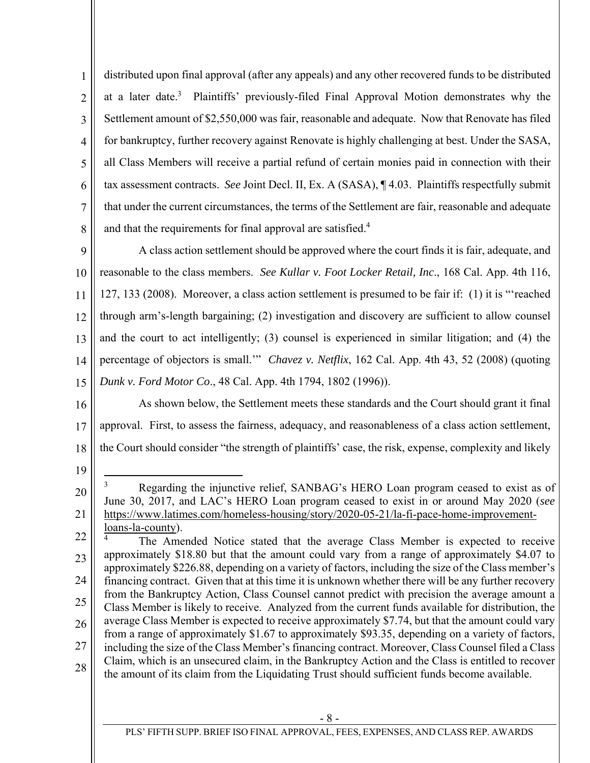1 2 3 4 5 6 7 8 distributed upon final approval (after any appeals) and any other recovered funds to be distributed at a later date.<sup>3</sup> Plaintiffs' previously-filed Final Approval Motion demonstrates why the Settlement amount of \$2,550,000 was fair, reasonable and adequate. Now that Renovate has filed for bankruptcy, further recovery against Renovate is highly challenging at best. Under the SASA, all Class Members will receive a partial refund of certain monies paid in connection with their tax assessment contracts. *See* Joint Decl. II, Ex. A (SASA), ¶ 4.03. Plaintiffs respectfully submit that under the current circumstances, the terms of the Settlement are fair, reasonable and adequate and that the requirements for final approval are satisfied.<sup>4</sup>

9 10 11 12 13 14 15 A class action settlement should be approved where the court finds it is fair, adequate, and reasonable to the class members. *See Kullar v. Foot Locker Retail, Inc*., 168 Cal. App. 4th 116, 127, 133 (2008).Moreover, a class action settlement is presumed to be fair if: (1) it is "'reached through arm's-length bargaining; (2) investigation and discovery are sufficient to allow counsel and the court to act intelligently; (3) counsel is experienced in similar litigation; and (4) the percentage of objectors is small.'" *Chavez v. Netflix*, 162 Cal. App. 4th 43, 52 (2008) (quoting *Dunk v. Ford Motor Co*., 48 Cal. App. 4th 1794, 1802 (1996)).

16 17 18 As shown below, the Settlement meets these standards and the Court should grant it final approval. First, to assess the fairness, adequacy, and reasonableness of a class action settlement, the Court should consider "the strength of plaintiffs' case, the risk, expense, complexity and likely

<sup>20</sup>  21  $\overline{a}$ 3 Regarding the injunctive relief, SANBAG's HERO Loan program ceased to exist as of June 30, 2017, and LAC's HERO Loan program ceased to exist in or around May 2020 (*see* https://www.latimes.com/homeless-housing/story/2020-05-21/la-fi-pace-home-improvementloans-la-county).

<sup>22</sup>  23 24 25 26 27 28 4 The Amended Notice stated that the average Class Member is expected to receive approximately \$18.80 but that the amount could vary from a range of approximately \$4.07 to approximately \$226.88, depending on a variety of factors, including the size of the Class member's financing contract. Given that at this time it is unknown whether there will be any further recovery from the Bankruptcy Action, Class Counsel cannot predict with precision the average amount a Class Member is likely to receive. Analyzed from the current funds available for distribution, the average Class Member is expected to receive approximately \$7.74, but that the amount could vary from a range of approximately \$1.67 to approximately \$93.35, depending on a variety of factors, including the size of the Class Member's financing contract. Moreover, Class Counsel filed a Class Claim, which is an unsecured claim, in the Bankruptcy Action and the Class is entitled to recover the amount of its claim from the Liquidating Trust should sufficient funds become available.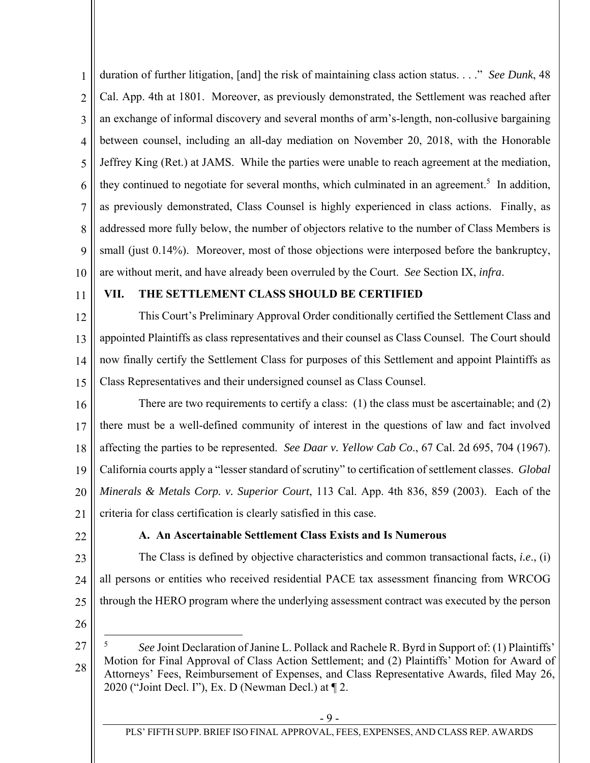1 2 3 4 5 6 7 8 9 10 duration of further litigation, [and] the risk of maintaining class action status. . . ." *See Dunk*, 48 Cal. App. 4th at 1801. Moreover, as previously demonstrated, the Settlement was reached after an exchange of informal discovery and several months of arm's-length, non-collusive bargaining between counsel, including an all-day mediation on November 20, 2018, with the Honorable Jeffrey King (Ret.) at JAMS. While the parties were unable to reach agreement at the mediation, they continued to negotiate for several months, which culminated in an agreement.<sup>5</sup> In addition, as previously demonstrated, Class Counsel is highly experienced in class actions. Finally, as addressed more fully below, the number of objectors relative to the number of Class Members is small (just 0.14%). Moreover, most of those objections were interposed before the bankruptcy, are without merit, and have already been overruled by the Court. *See* Section IX, *infra*.

11

### **VII. THE SETTLEMENT CLASS SHOULD BE CERTIFIED**

12 13 14 15 This Court's Preliminary Approval Order conditionally certified the Settlement Class and appointed Plaintiffs as class representatives and their counsel as Class Counsel. The Court should now finally certify the Settlement Class for purposes of this Settlement and appoint Plaintiffs as Class Representatives and their undersigned counsel as Class Counsel.

16 17 18 19 20 21 There are two requirements to certify a class: (1) the class must be ascertainable; and (2) there must be a well-defined community of interest in the questions of law and fact involved affecting the parties to be represented. *See Daar v. Yellow Cab Co*., 67 Cal. 2d 695, 704 (1967). California courts apply a "lesser standard of scrutiny" to certification of settlement classes. *Global Minerals & Metals Corp. v. Superior Court*, 113 Cal. App. 4th 836, 859 (2003). Each of the criteria for class certification is clearly satisfied in this case.

22

## **A. An Ascertainable Settlement Class Exists and Is Numerous**

23 24 25 The Class is defined by objective characteristics and common transactional facts, *i.e*., (i) all persons or entities who received residential PACE tax assessment financing from WRCOG through the HERO program where the underlying assessment contract was executed by the person

26

<sup>27</sup>  28 5 *See* Joint Declaration of Janine L. Pollack and Rachele R. Byrd in Support of: (1) Plaintiffs' Motion for Final Approval of Class Action Settlement; and (2) Plaintiffs' Motion for Award of Attorneys' Fees, Reimbursement of Expenses, and Class Representative Awards, filed May 26, 2020 ("Joint Decl. I"), Ex. D (Newman Decl.) at ¶ 2.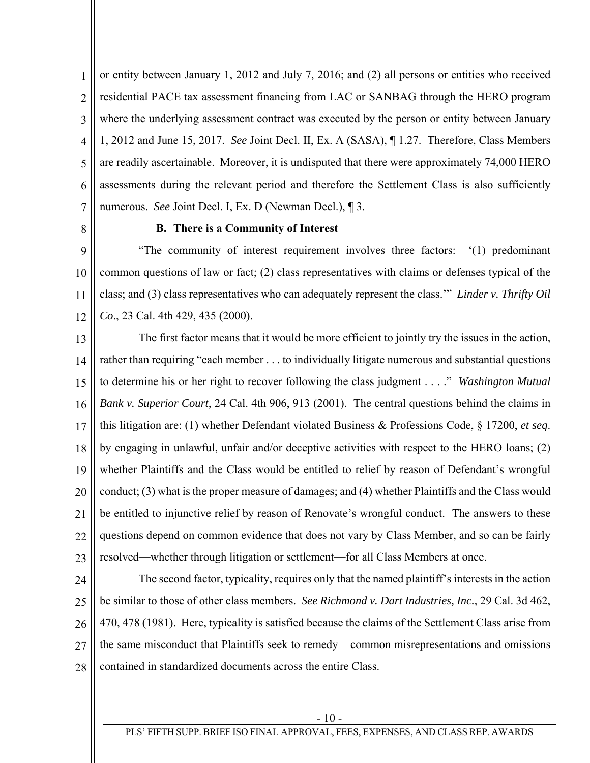1 2 3 4 5 6 7 or entity between January 1, 2012 and July 7, 2016; and (2) all persons or entities who received residential PACE tax assessment financing from LAC or SANBAG through the HERO program where the underlying assessment contract was executed by the person or entity between January 1, 2012 and June 15, 2017. *See* Joint Decl. II, Ex. A (SASA), ¶ 1.27. Therefore, Class Members are readily ascertainable. Moreover, it is undisputed that there were approximately 74,000 HERO assessments during the relevant period and therefore the Settlement Class is also sufficiently numerous. *See* Joint Decl. I, Ex. D (Newman Decl.), ¶ 3.

8

### **B. There is a Community of Interest**

9 10 11 12 "The community of interest requirement involves three factors: '(1) predominant common questions of law or fact; (2) class representatives with claims or defenses typical of the class; and (3) class representatives who can adequately represent the class.'" *Linder v. Thrifty Oil Co*., 23 Cal. 4th 429, 435 (2000).

13 14 15 16 17 18 19 20 21 22 23 The first factor means that it would be more efficient to jointly try the issues in the action, rather than requiring "each member . . . to individually litigate numerous and substantial questions to determine his or her right to recover following the class judgment . . . ." *Washington Mutual Bank v. Superior Court*, 24 Cal. 4th 906, 913 (2001). The central questions behind the claims in this litigation are: (1) whether Defendant violated Business & Professions Code, § 17200, *et seq*. by engaging in unlawful, unfair and/or deceptive activities with respect to the HERO loans; (2) whether Plaintiffs and the Class would be entitled to relief by reason of Defendant's wrongful conduct; (3) what is the proper measure of damages; and (4) whether Plaintiffs and the Class would be entitled to injunctive relief by reason of Renovate's wrongful conduct. The answers to these questions depend on common evidence that does not vary by Class Member, and so can be fairly resolved—whether through litigation or settlement—for all Class Members at once.

24

25 26 27 28 The second factor, typicality, requires only that the named plaintiff's interests in the action be similar to those of other class members. *See Richmond v. Dart Industries, Inc.*, 29 Cal. 3d 462, 470, 478 (1981). Here, typicality is satisfied because the claims of the Settlement Class arise from the same misconduct that Plaintiffs seek to remedy – common misrepresentations and omissions contained in standardized documents across the entire Class.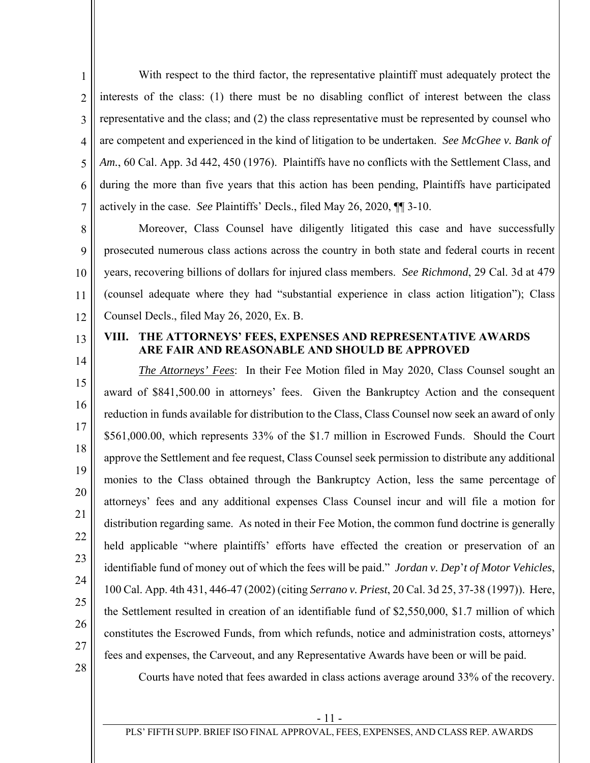1 2 3 4 5 6 7 With respect to the third factor, the representative plaintiff must adequately protect the interests of the class: (1) there must be no disabling conflict of interest between the class representative and the class; and (2) the class representative must be represented by counsel who are competent and experienced in the kind of litigation to be undertaken. *See McGhee v. Bank of*  Am., 60 Cal. App. 3d 442, 450 (1976). Plaintiffs have no conflicts with the Settlement Class, and during the more than five years that this action has been pending, Plaintiffs have participated actively in the case. *See* Plaintiffs' Decls., filed May 26, 2020, ¶¶ 3-10.

8 9 10 11 12 Moreover, Class Counsel have diligently litigated this case and have successfully prosecuted numerous class actions across the country in both state and federal courts in recent years, recovering billions of dollars for injured class members. *See Richmond*, 29 Cal. 3d at 479 (counsel adequate where they had "substantial experience in class action litigation"); Class Counsel Decls., filed May 26, 2020, Ex. B.

13 14

### **VIII. THE ATTORNEYS' FEES, EXPENSES AND REPRESENTATIVE AWARDS ARE FAIR AND REASONABLE AND SHOULD BE APPROVED**

15 16 17 18 19 20 22 23 24 25 26 27 *The Attorneys' Fees*: In their Fee Motion filed in May 2020, Class Counsel sought an award of \$841,500.00 in attorneys' fees. Given the Bankruptcy Action and the consequent reduction in funds available for distribution to the Class, Class Counsel now seek an award of only \$561,000.00, which represents 33% of the \$1.7 million in Escrowed Funds. Should the Court approve the Settlement and fee request, Class Counsel seek permission to distribute any additional monies to the Class obtained through the Bankruptcy Action, less the same percentage of attorneys' fees and any additional expenses Class Counsel incur and will file a motion for distribution regarding same. As noted in their Fee Motion, the common fund doctrine is generally held applicable "where plaintiffs' efforts have effected the creation or preservation of an identifiable fund of money out of which the fees will be paid." *Jordan v. Dep*'*t of Motor Vehicles*, 100 Cal. App. 4th 431, 446-47 (2002) (citing *Serrano v. Priest*, 20 Cal. 3d 25, 37-38 (1997)). Here, the Settlement resulted in creation of an identifiable fund of \$2,550,000, \$1.7 million of which constitutes the Escrowed Funds, from which refunds, notice and administration costs, attorneys' fees and expenses, the Carveout, and any Representative Awards have been or will be paid.

28

21

Courts have noted that fees awarded in class actions average around 33% of the recovery.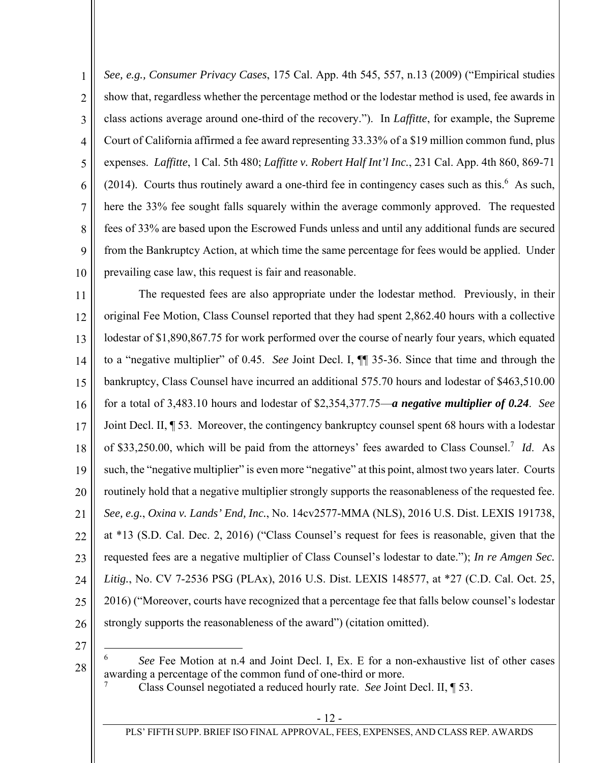1 2 3 4 5 6 7 8 9 10 *See, e.g., Consumer Privacy Cases*, 175 Cal. App. 4th 545, 557, n.13 (2009) ("Empirical studies show that, regardless whether the percentage method or the lodestar method is used, fee awards in class actions average around one-third of the recovery."). In *Laffitte*, for example, the Supreme Court of California affirmed a fee award representing 33.33% of a \$19 million common fund, plus expenses. *Laffitte*, 1 Cal. 5th 480; *Laffitte v. Robert Half Int'l Inc.*, 231 Cal. App. 4th 860, 869-71  $(2014)$ . Courts thus routinely award a one-third fee in contingency cases such as this.<sup>6</sup> As such, here the 33% fee sought falls squarely within the average commonly approved. The requested fees of 33% are based upon the Escrowed Funds unless and until any additional funds are secured from the Bankruptcy Action, at which time the same percentage for fees would be applied. Under prevailing case law, this request is fair and reasonable.

11 12 13 14 15 16 17 18 19 20 21 22 23 24 25 26 The requested fees are also appropriate under the lodestar method. Previously, in their original Fee Motion, Class Counsel reported that they had spent 2,862.40 hours with a collective lodestar of \$1,890,867.75 for work performed over the course of nearly four years, which equated to a "negative multiplier" of 0.45. *See* Joint Decl. I, ¶¶ 35-36. Since that time and through the bankruptcy, Class Counsel have incurred an additional 575.70 hours and lodestar of \$463,510.00 for a total of 3,483.10 hours and lodestar of \$2,354,377.75—*a negative multiplier of 0.24*. *See* Joint Decl. II, ¶ 53. Moreover, the contingency bankruptcy counsel spent 68 hours with a lodestar of \$33,250.00, which will be paid from the attorneys' fees awarded to Class Counsel.7 *Id*. As such, the "negative multiplier" is even more "negative" at this point, almost two years later. Courts routinely hold that a negative multiplier strongly supports the reasonableness of the requested fee. *See, e.g.*, *Oxina v. Lands' End, Inc.*, No. 14cv2577-MMA (NLS), 2016 U.S. Dist. LEXIS 191738, at \*13 (S.D. Cal. Dec. 2, 2016) ("Class Counsel's request for fees is reasonable, given that the requested fees are a negative multiplier of Class Counsel's lodestar to date."); *In re Amgen Sec. Litig.*, No. CV 7-2536 PSG (PLAx), 2016 U.S. Dist. LEXIS 148577, at \*27 (C.D. Cal. Oct. 25, 2016) ("Moreover, courts have recognized that a percentage fee that falls below counsel's lodestar strongly supports the reasonableness of the award") (citation omitted).

27

1

<sup>6</sup> *See* Fee Motion at n.4 and Joint Decl. I, Ex. E for a non-exhaustive list of other cases awarding a percentage of the common fund of one-third or more. 7

Class Counsel negotiated a reduced hourly rate. *See* Joint Decl. II, ¶ 53.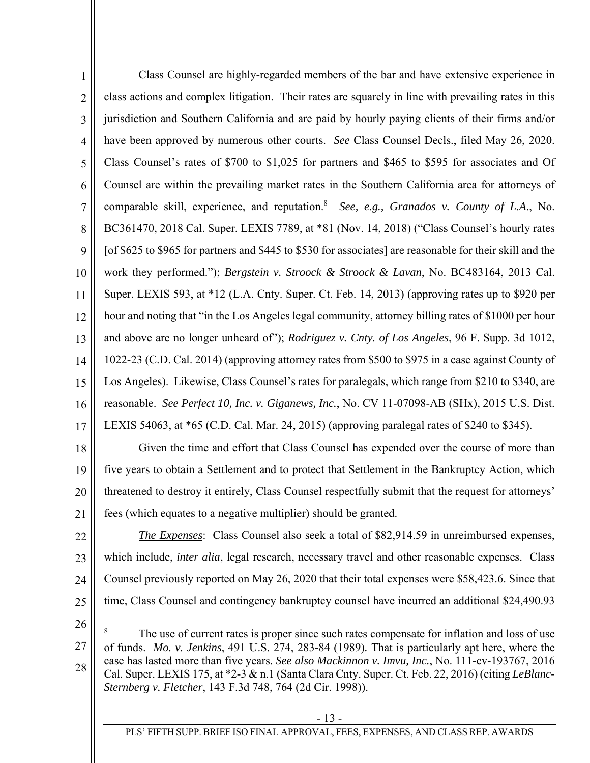1 2 3 4 5 6 7 8 9 10 11 12 13 14 15 16 17 Class Counsel are highly-regarded members of the bar and have extensive experience in class actions and complex litigation. Their rates are squarely in line with prevailing rates in this jurisdiction and Southern California and are paid by hourly paying clients of their firms and/or have been approved by numerous other courts. *See* Class Counsel Decls., filed May 26, 2020. Class Counsel's rates of \$700 to \$1,025 for partners and \$465 to \$595 for associates and Of Counsel are within the prevailing market rates in the Southern California area for attorneys of comparable skill, experience, and reputation.<sup>8</sup> See, e.g., Granados v. County of L.A., No. BC361470, 2018 Cal. Super. LEXIS 7789, at \*81 (Nov. 14, 2018) ("Class Counsel's hourly rates [of \$625 to \$965 for partners and \$445 to \$530 for associates] are reasonable for their skill and the work they performed."); *Bergstein v. Stroock & Stroock & Lavan*, No. BC483164, 2013 Cal. Super. LEXIS 593, at \*12 (L.A. Cnty. Super. Ct. Feb. 14, 2013) (approving rates up to \$920 per hour and noting that "in the Los Angeles legal community, attorney billing rates of \$1000 per hour and above are no longer unheard of"); *Rodriguez v. Cnty. of Los Angeles*, 96 F. Supp. 3d 1012, 1022-23 (C.D. Cal. 2014) (approving attorney rates from \$500 to \$975 in a case against County of Los Angeles). Likewise, Class Counsel's rates for paralegals, which range from \$210 to \$340, are reasonable. *See Perfect 10, Inc. v. Giganews, Inc.*, No. CV 11-07098-AB (SHx), 2015 U.S. Dist. LEXIS 54063, at \*65 (C.D. Cal. Mar. 24, 2015) (approving paralegal rates of \$240 to \$345).

18 19 20 21 Given the time and effort that Class Counsel has expended over the course of more than five years to obtain a Settlement and to protect that Settlement in the Bankruptcy Action, which threatened to destroy it entirely, Class Counsel respectfully submit that the request for attorneys' fees (which equates to a negative multiplier) should be granted.

22

23 24 25 *The Expenses*: Class Counsel also seek a total of \$82,914.59 in unreimbursed expenses, which include, *inter alia*, legal research, necessary travel and other reasonable expenses. Class Counsel previously reported on May 26, 2020 that their total expenses were \$58,423.6. Since that time, Class Counsel and contingency bankruptcy counsel have incurred an additional \$24,490.93

26

 $\overline{a}$ 

<sup>27</sup>  28 8 The use of current rates is proper since such rates compensate for inflation and loss of use of funds. *Mo. v. Jenkins*, 491 U.S. 274, 283-84 (1989)*.* That is particularly apt here, where the case has lasted more than five years. *See also Mackinnon v. Imvu, Inc.*, No. 111-cv-193767, 2016 Cal. Super. LEXIS 175, at \*2-3 & n.1 (Santa Clara Cnty. Super. Ct. Feb. 22, 2016) (citing *LeBlanc-Sternberg v. Fletcher*, 143 F.3d 748, 764 (2d Cir. 1998)).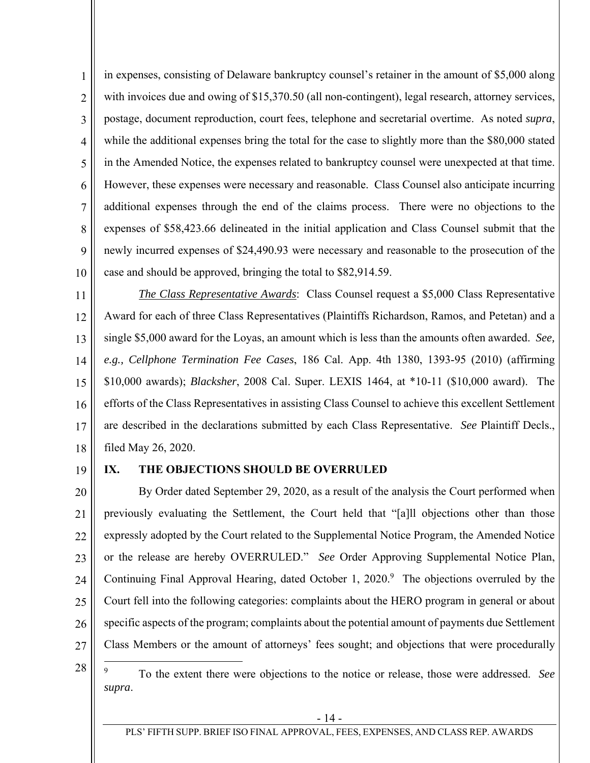1 2 3 4 5 6 7 8 9 10 in expenses, consisting of Delaware bankruptcy counsel's retainer in the amount of \$5,000 along with invoices due and owing of \$15,370.50 (all non-contingent), legal research, attorney services, postage, document reproduction, court fees, telephone and secretarial overtime. As noted *supra*, while the additional expenses bring the total for the case to slightly more than the \$80,000 stated in the Amended Notice, the expenses related to bankruptcy counsel were unexpected at that time. However, these expenses were necessary and reasonable. Class Counsel also anticipate incurring additional expenses through the end of the claims process. There were no objections to the expenses of \$58,423.66 delineated in the initial application and Class Counsel submit that the newly incurred expenses of \$24,490.93 were necessary and reasonable to the prosecution of the case and should be approved, bringing the total to \$82,914.59.

11 12 13 14 15 16 17 18 *The Class Representative Awards*: Class Counsel request a \$5,000 Class Representative Award for each of three Class Representatives (Plaintiffs Richardson, Ramos, and Petetan) and a single \$5,000 award for the Loyas, an amount which is less than the amounts often awarded. *See, e.g., Cellphone Termination Fee Cases*, 186 Cal. App. 4th 1380, 1393-95 (2010) (affirming \$10,000 awards); *Blacksher*, 2008 Cal. Super. LEXIS 1464, at \*10-11 (\$10,000 award).The efforts of the Class Representatives in assisting Class Counsel to achieve this excellent Settlement are described in the declarations submitted by each Class Representative. *See* Plaintiff Decls., filed May 26, 2020.

19

#### **IX. THE OBJECTIONS SHOULD BE OVERRULED**

20 21 22 23 24 25 26 27 By Order dated September 29, 2020, as a result of the analysis the Court performed when previously evaluating the Settlement, the Court held that "[a]ll objections other than those expressly adopted by the Court related to the Supplemental Notice Program, the Amended Notice or the release are hereby OVERRULED." *See* Order Approving Supplemental Notice Plan, Continuing Final Approval Hearing, dated October 1, 2020.<sup>9</sup> The objections overruled by the Court fell into the following categories: complaints about the HERO program in general or about specific aspects of the program; complaints about the potential amount of payments due Settlement Class Members or the amount of attorneys' fees sought; and objections that were procedurally

28  $\overline{a}$ 9 To the extent there were objections to the notice or release, those were addressed. *See supra*.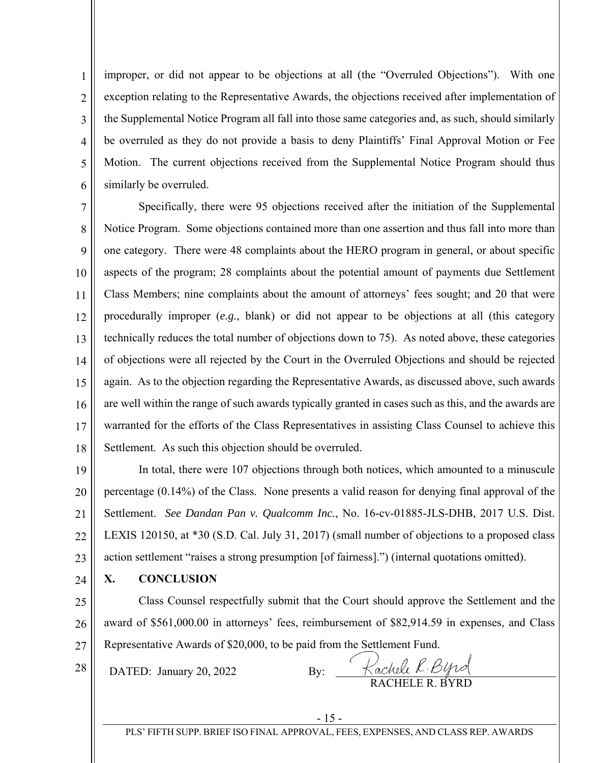1 2 3 4 5 6 improper, or did not appear to be objections at all (the "Overruled Objections"). With one exception relating to the Representative Awards, the objections received after implementation of the Supplemental Notice Program all fall into those same categories and, as such, should similarly be overruled as they do not provide a basis to deny Plaintiffs' Final Approval Motion or Fee Motion. The current objections received from the Supplemental Notice Program should thus similarly be overruled.

7 8 9 10 11 12 13 14 15 16 17 18 Specifically, there were 95 objections received after the initiation of the Supplemental Notice Program. Some objections contained more than one assertion and thus fall into more than one category. There were 48 complaints about the HERO program in general, or about specific aspects of the program; 28 complaints about the potential amount of payments due Settlement Class Members; nine complaints about the amount of attorneys' fees sought; and 20 that were procedurally improper (*e.g.*, blank) or did not appear to be objections at all (this category technically reduces the total number of objections down to 75). As noted above, these categories of objections were all rejected by the Court in the Overruled Objections and should be rejected again. As to the objection regarding the Representative Awards, as discussed above, such awards are well within the range of such awards typically granted in cases such as this, and the awards are warranted for the efforts of the Class Representatives in assisting Class Counsel to achieve this Settlement. As such this objection should be overruled.

19 20 21 22 23 In total, there were 107 objections through both notices, which amounted to a minuscule percentage (0.14%) of the Class. None presents a valid reason for denying final approval of the Settlement. *See Dandan Pan v. Qualcomm Inc.*, No. 16-cv-01885-JLS-DHB, 2017 U.S. Dist. LEXIS 120150, at \*30 (S.D. Cal. July 31, 2017) (small number of objections to a proposed class action settlement "raises a strong presumption [of fairness].") (internal quotations omitted).

24 **X. CONCLUSION** 

25 26 27 Class Counsel respectfully submit that the Court should approve the Settlement and the award of \$561,000.00 in attorneys' fees, reimbursement of \$82,914.59 in expenses, and Class Representative Awards of \$20,000, to be paid from the Settlement Fund.

28 DATED: January 20, 2022 By:

RACHELE R. BYRD

PLS' FIFTH SUPP. BRIEF ISO FINAL APPROVAL, FEES, EXPENSES, AND CLASS REP. AWARDS